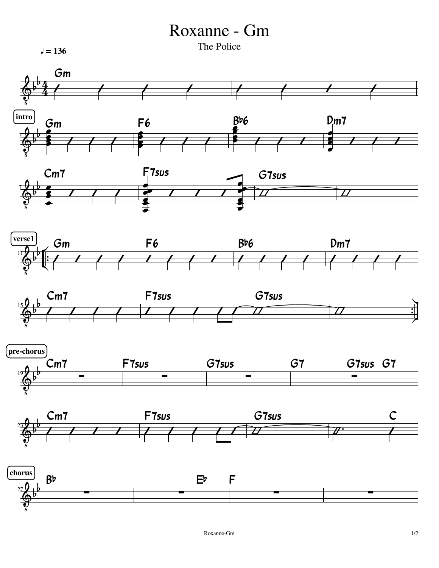## Roxanne - Gm

The Police **The Police The Police The Police**